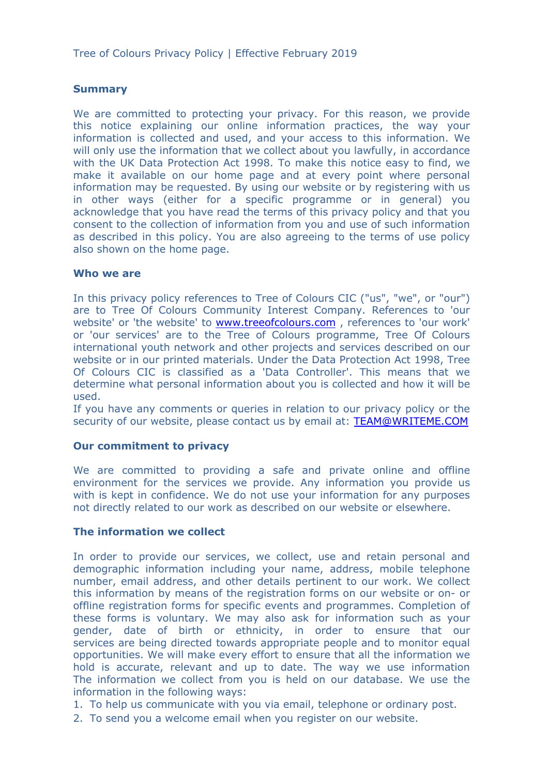# **Summary**

We are committed to protecting your privacy. For this reason, we provide this notice explaining our online information practices, the way your information is collected and used, and your access to this information. We will only use the information that we collect about you lawfully, in accordance with the UK Data Protection Act 1998. To make this notice easy to find, we make it available on our home page and at every point where personal information may be requested. By using our website or by registering with us in other ways (either for a specific programme or in general) you acknowledge that you have read the terms of this privacy policy and that you consent to the collection of information from you and use of such information as described in this policy. You are also agreeing to the terms of use policy also shown on the home page.

## **Who we are**

In this privacy policy references to Tree of Colours CIC ("us", "we", or "our") are to Tree Of Colours Community Interest Company. References to 'our website' or 'the website' to www.treeofcolours.com , references to 'our work' or 'our services' are to the Tree of Colours programme, Tree Of Colours international youth network and other projects and services described on our website or in our printed materials. Under the Data Protection Act 1998, Tree Of Colours CIC is classified as a 'Data Controller'. This means that we determine what personal information about you is collected and how it will be used.

If you have any comments or queries in relation to our privacy policy or the security of our website, please contact us by email at: TEAM@WRITEME.COM

### **Our commitment to privacy**

We are committed to providing a safe and private online and offline environment for the services we provide. Any information you provide us with is kept in confidence. We do not use your information for any purposes not directly related to our work as described on our website or elsewhere.

# **The information we collect**

In order to provide our services, we collect, use and retain personal and demographic information including your name, address, mobile telephone number, email address, and other details pertinent to our work. We collect this information by means of the registration forms on our website or on- or offline registration forms for specific events and programmes. Completion of these forms is voluntary. We may also ask for information such as your gender, date of birth or ethnicity, in order to ensure that our services are being directed towards appropriate people and to monitor equal opportunities. We will make every effort to ensure that all the information we hold is accurate, relevant and up to date. The way we use information The information we collect from you is held on our database. We use the information in the following ways:

1. To help us communicate with you via email, telephone or ordinary post.

2. To send you a welcome email when you register on our website.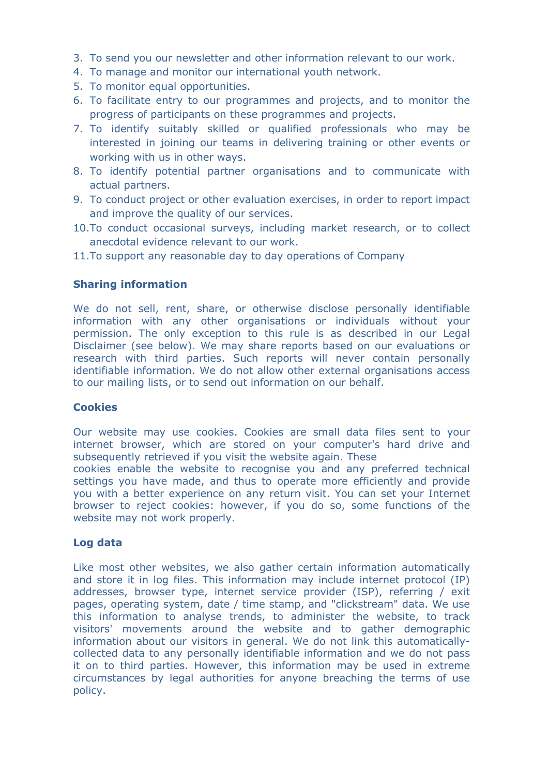- 3. To send you our newsletter and other information relevant to our work.
- 4. To manage and monitor our international youth network.
- 5. To monitor equal opportunities.
- 6. To facilitate entry to our programmes and projects, and to monitor the progress of participants on these programmes and projects.
- 7. To identify suitably skilled or qualified professionals who may be interested in joining our teams in delivering training or other events or working with us in other ways.
- 8. To identify potential partner organisations and to communicate with actual partners.
- 9. To conduct project or other evaluation exercises, in order to report impact and improve the quality of our services.
- 10.To conduct occasional surveys, including market research, or to collect anecdotal evidence relevant to our work.
- 11.To support any reasonable day to day operations of Company

## **Sharing information**

We do not sell, rent, share, or otherwise disclose personally identifiable information with any other organisations or individuals without your permission. The only exception to this rule is as described in our Legal Disclaimer (see below). We may share reports based on our evaluations or research with third parties. Such reports will never contain personally identifiable information. We do not allow other external organisations access to our mailing lists, or to send out information on our behalf.

#### **Cookies**

Our website may use cookies. Cookies are small data files sent to your internet browser, which are stored on your computer's hard drive and subsequently retrieved if you visit the website again. These cookies enable the website to recognise you and any preferred technical settings you have made, and thus to operate more efficiently and provide you with a better experience on any return visit. You can set your Internet browser to reject cookies: however, if you do so, some functions of the website may not work properly.

### **Log data**

Like most other websites, we also gather certain information automatically and store it in log files. This information may include internet protocol (IP) addresses, browser type, internet service provider (ISP), referring / exit pages, operating system, date / time stamp, and "clickstream" data. We use this information to analyse trends, to administer the website, to track visitors' movements around the website and to gather demographic information about our visitors in general. We do not link this automaticallycollected data to any personally identifiable information and we do not pass it on to third parties. However, this information may be used in extreme circumstances by legal authorities for anyone breaching the terms of use policy.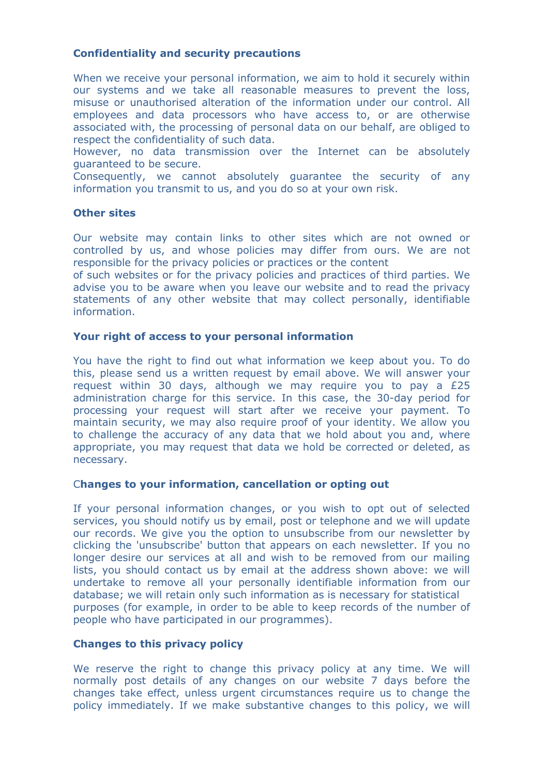## **Confidentiality and security precautions**

When we receive your personal information, we aim to hold it securely within our systems and we take all reasonable measures to prevent the loss, misuse or unauthorised alteration of the information under our control. All employees and data processors who have access to, or are otherwise associated with, the processing of personal data on our behalf, are obliged to respect the confidentiality of such data.

However, no data transmission over the Internet can be absolutely guaranteed to be secure.

Consequently, we cannot absolutely guarantee the security of any information you transmit to us, and you do so at your own risk.

#### **Other sites**

Our website may contain links to other sites which are not owned or controlled by us, and whose policies may differ from ours. We are not responsible for the privacy policies or practices or the content

of such websites or for the privacy policies and practices of third parties. We advise you to be aware when you leave our website and to read the privacy statements of any other website that may collect personally, identifiable information.

#### **Your right of access to your personal information**

You have the right to find out what information we keep about you. To do this, please send us a written request by email above. We will answer your request within 30 days, although we may require you to pay a £25 administration charge for this service. In this case, the 30-day period for processing your request will start after we receive your payment. To maintain security, we may also require proof of your identity. We allow you to challenge the accuracy of any data that we hold about you and, where appropriate, you may request that data we hold be corrected or deleted, as necessary.

# C**hanges to your information, cancellation or opting out**

If your personal information changes, or you wish to opt out of selected services, you should notify us by email, post or telephone and we will update our records. We give you the option to unsubscribe from our newsletter by clicking the 'unsubscribe' button that appears on each newsletter. If you no longer desire our services at all and wish to be removed from our mailing lists, you should contact us by email at the address shown above: we will undertake to remove all your personally identifiable information from our database; we will retain only such information as is necessary for statistical purposes (for example, in order to be able to keep records of the number of people who have participated in our programmes).

### **Changes to this privacy policy**

We reserve the right to change this privacy policy at any time. We will normally post details of any changes on our website 7 days before the changes take effect, unless urgent circumstances require us to change the policy immediately. If we make substantive changes to this policy, we will